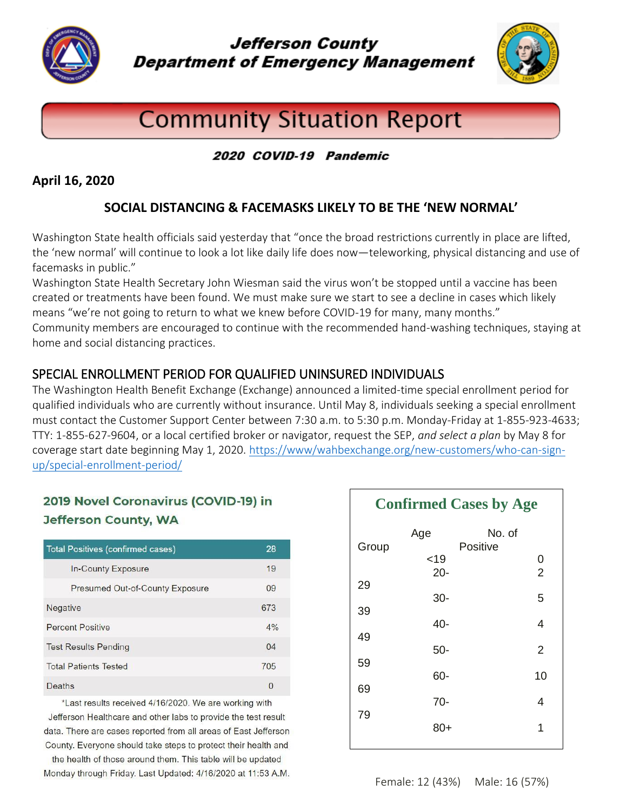

**Jefferson County Department of Emergency Management** 



# **Community Situation Report**

## 2020 COVID-19 Pandemic

#### **April 16, 2020**

## **SOCIAL DISTANCING & FACEMASKS LIKELY TO BE THE 'NEW NORMAL'**

Washington State health officials said yesterday that "once the broad restrictions currently in place are lifted, the 'new normal' will continue to look a lot like daily life does now—teleworking, physical distancing and use of facemasks in public."

Washington State Health Secretary John Wiesman said the virus won't be stopped until a vaccine has been created or treatments have been found. We must make sure we start to see a decline in cases which likely means "we're not going to return to what we knew before COVID-19 for many, many months."

Community members are encouraged to continue with the recommended hand-washing techniques, staying at home and social distancing practices.

## SPECIAL ENROLLMENT PERIOD FOR QUALIFIED UNINSURED INDIVIDUALS

The Washington Health Benefit Exchange (Exchange) announced a limited-time special enrollment period for qualified individuals who are currently without insurance. Until May 8, individuals seeking a special enrollment must contact the Customer Support Center between 7:30 a.m. to 5:30 p.m. Monday-Friday at 1-855-923-4633; TTY: 1-855-627-9604, or a local certified broker or navigator, request the SEP, *and select a plan* by May 8 for coverage start date beginning May 1, 2020. [https://www/wahbexchange.org/new-customers/who-can-sign](https://www/wahbexchange.org/new-customers/who-can-sign-up/special-enrollment-period/)[up/special-enrollment-period/](https://www/wahbexchange.org/new-customers/who-can-sign-up/special-enrollment-period/)

# 2019 Novel Coronavirus (COVID-19) in **Jefferson County, WA**

| <b>Total Positives (confirmed cases)</b> | 28       |
|------------------------------------------|----------|
| In-County Exposure                       | 19       |
| <b>Presumed Out-of-County Exposure</b>   | 09       |
| Negative                                 | 673      |
| <b>Percent Positive</b>                  | 4%       |
| <b>Test Results Pending</b>              | 04       |
| <b>Total Patients Tested</b>             | 705      |
| Deaths                                   | $\Omega$ |

\*Last results received 4/16/2020. We are working with Jefferson Healthcare and other labs to provide the test result data. There are cases reported from all areas of East Jefferson County. Everyone should take steps to protect their health and

the health of those around them. This table will be updated Monday through Friday. Last Updated: 4/16/2020 at 11:53 A.M.

| <b>Confirmed Cases by Age</b> |                 |                    |                     |
|-------------------------------|-----------------|--------------------|---------------------|
| Group                         | Age<br>< 19     | No. of<br>Positive | $\mathbf{0}$        |
| 29                            | $20 -$<br>$30-$ |                    | $\overline{2}$<br>5 |
| 39                            | 40-             |                    | 4                   |
| 49                            | $50-$           |                    | 2                   |
| 59<br>69                      | 60-             |                    | 10                  |
| 79                            | $70-$           |                    | 4                   |
|                               | 80+             |                    | 1                   |

Female: 12 (43%)